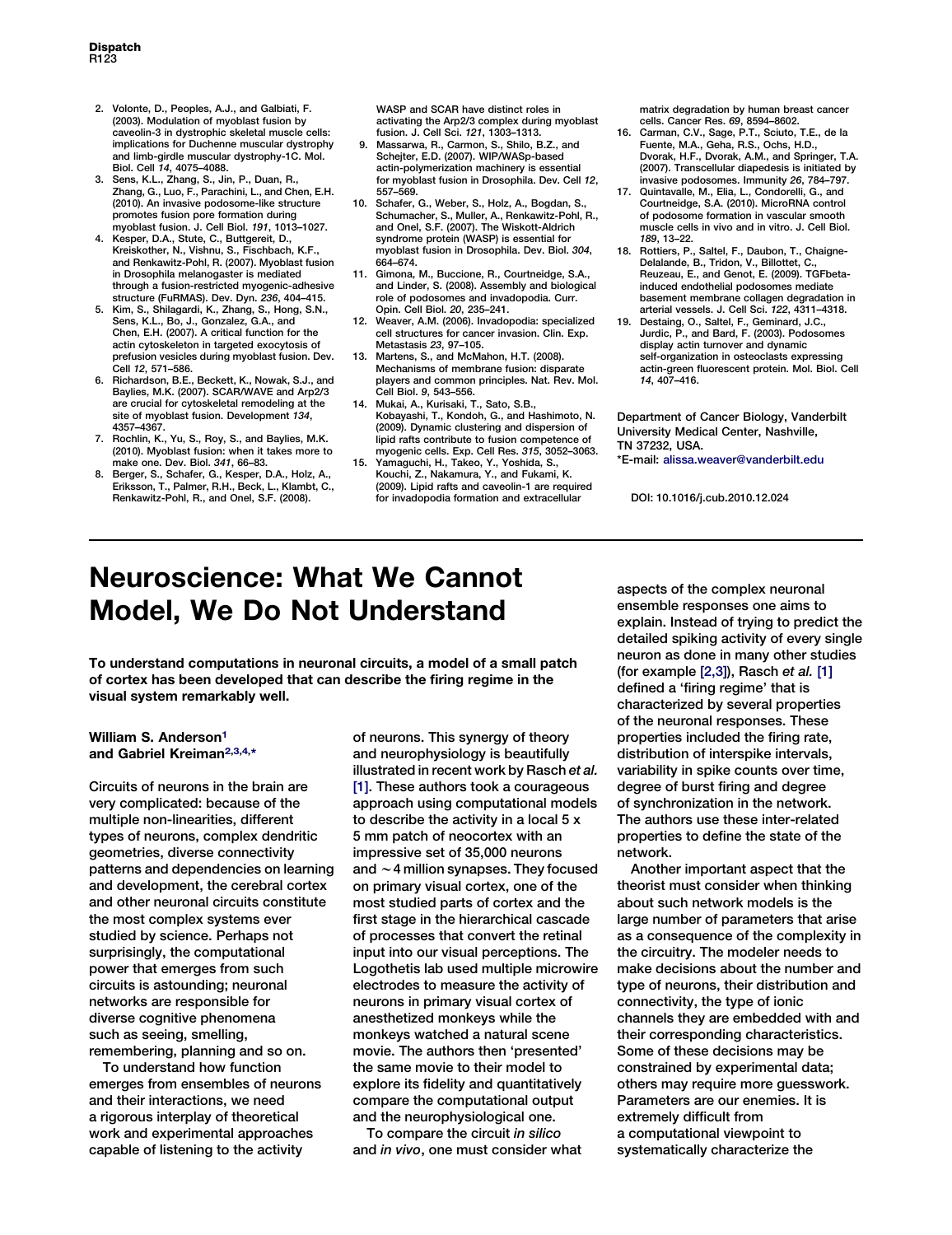- 2. Volonte, D., Peoples, A.J., and Galbiati, F. (2003). Modulation of myoblast fusion by caveolin-3 in dystrophic skeletal muscle cells: implications for Duchenne muscular dystrophy and limb-girdle muscular dystrophy-1C. Mol. Biol. Cell 14, 4075–4088.
- 3. Sens, K.L., Zhang, S., Jin, P., Duan, R., Zhang, G., Luo, F., Parachini, L., and Chen, E.H. (2010). An invasive podosome-like structure promotes fusion pore formation during myoblast fusion. J. Cell Biol. 191, 1013–1027.
- 4. Kesper, D.A., Stute, C., Buttgereit, D., Kreiskother, N., Vishnu, S., Fischbach, K.F., and Renkawitz-Pohl, R. (2007). Myoblast fusion in Drosophila melanogaster is mediated through a fusion-restricted myogenic-adhesive structure (FuRMAS). Dev. Dyn. 236, 404–415.
- 5. Kim, S., Shilagardi, K., Zhang, S., Hong, S.N., Sens, K.L., Bo, J., Gonzalez, G.A., and Chen, E.H. (2007). A critical function for the actin cytoskeleton in targeted exocytosis of prefusion vesicles during myoblast fusion. Dev. Cell 12, 571–586.
- 6. Richardson, B.E., Beckett, K., Nowak, S.J., and Baylies, M.K. (2007). SCAR/WAVE and Arp2/3 are crucial for cytoskeletal remodeling at the site of myoblast fusion. Development 134, 4357–4367.
- 7. Rochlin, K., Yu, S., Roy, S., and Baylies, M.K. (2010). Myoblast fusion: when it takes more to make one. Dev. Biol. 341, 66–83.
- 8. Berger, S., Schafer, G., Kesper, D.A., Holz, A., Eriksson, T., Palmer, R.H., Beck, L., Klambt, C., Renkawitz-Pohl, R., and Onel, S.F. (2008).

WASP and SCAR have distinct roles in activating the Arp2/3 complex during myoblast fusion. J. Cell Sci. 121, 1303–1313.

- 9. Massarwa, R., Carmon, S., Shilo, B.Z., and Schejter, E.D. (2007). WIP/WASp-based actin-polymerization machinery is essential for myoblast fusion in Drosophila. Dev. Cell 12, 557–569.
- 10. Schafer, G., Weber, S., Holz, A., Bogdan, S., Schumacher, S., Muller, A., Renkawitz-Pohl, R., and Onel, S.F. (2007). The Wiskott-Aldrich syndrome protein (WASP) is essential for myoblast fusion in Drosophila. Dev. Biol. 304, 664–674.
- 11. Gimona, M., Buccione, R., Courtneidge, S.A., and Linder, S. (2008). Assembly and biological role of podosomes and invadopodia. Curr. Opin. Cell Biol. 20, 235–241.
- 12. Weaver, A.M. (2006). Invadopodia: specialized cell structures for cancer invasion. Clin. Exp. Metastasis 23, 97–105.
- 13. Martens, S., and McMahon, H.T. (2008). Mechanisms of membrane fusion: disparate players and common principles. Nat. Rev. Mol. Cell Biol. 9, 543–556.
- 14. Mukai, A., Kurisaki, T., Sato, S.B., Kobayashi, T., Kondoh, G., and Hashimoto, N. (2009). Dynamic clustering and dispersion of lipid rafts contribute to fusion competence of myogenic cells. Exp. Cell Res. 315, 3052–3063.
- 15. Yamaguchi, H., Takeo, Y., Yoshida, S., Kouchi, Z., Nakamura, Y., and Fukami, K. (2009). Lipid rafts and caveolin-1 are required for invadopodia formation and extracellular

matrix degradation by human breast cancer cells. Cancer Res. 69, 8594–8602.

- 16. Carman, C.V., Sage, P.T., Sciuto, T.E., de la Fuente, M.A., Geha, R.S., Ochs, H.D., Dvorak, H.F., Dvorak, A.M., and Springer, T.A. (2007). Transcellular diapedesis is initiated by invasive podosomes. Immunity 26, 784–797.
- 17. Quintavalle, M., Elia, L., Condorelli, G., and Courtneidge, S.A. (2010). MicroRNA control of podosome formation in vascular smooth muscle cells in vivo and in vitro. J. Cell Biol. 189, 13–22.
- 18. Rottiers, P., Saltel, F., Daubon, T., Chaigne-Delalande, B., Tridon, V., Billottet, C. Reuzeau, E., and Genot, E. (2009). TGFbetainduced endothelial podosomes mediate basement membrane collagen degradation in arterial vessels. J. Cell Sci. 122, 4311–4318.
- 19. Destaing, O., Saltel, F., Geminard, J.C., Jurdic, P., and Bard, F. (2003). Podosomes display actin turnover and dynamic self-organization in osteoclasts expressing actin-green fluorescent protein. Mol. Biol. Cell 14, 407–416.

Department of Cancer Biology, Vanderbilt University Medical Center, Nashville, TN 37232, USA.

\*E-mail: [alissa.weaver@vanderbilt.edu](mailto:alissa.weaver@vanderbilt.edu)

DOI: 10.1016/j.cub.2010.12.024

## Neuroscience: What We Cannot Model, We Do Not Understand

To understand computations in neuronal circuits, a model of a small patch of cortex has been developed that can describe the firing regime in the visual system remarkably well.

## William S. Anderson<sup>[1](#page-2-0)</sup> and Gabriel Kreiman<sup>[2,3,4](#page-2-0),[\\*](#page-2-0)</sup>

Circuits of neurons in the brain are very complicated: because of the multiple non-linearities, different types of neurons, complex dendritic geometries, diverse connectivity patterns and dependencies on learning and development, the cerebral cortex and other neuronal circuits constitute the most complex systems ever studied by science. Perhaps not surprisingly, the computational power that emerges from such circuits is astounding; neuronal networks are responsible for diverse cognitive phenomena such as seeing, smelling, remembering, planning and so on.

To understand how function emerges from ensembles of neurons and their interactions, we need a rigorous interplay of theoretical work and experimental approaches capable of listening to the activity

of neurons. This synergy of theory and neurophysiology is beautifully illustrated in recent work by Rasch et al. [\[1\].](#page-1-0) These authors took a courageous approach using computational models to describe the activity in a local 5 x 5 mm patch of neocortex with an impressive set of 35,000 neurons and  $\sim$  4 million synapses. They focused on primary visual cortex, one of the most studied parts of cortex and the first stage in the hierarchical cascade of processes that convert the retinal input into our visual perceptions. The Logothetis lab used multiple microwire electrodes to measure the activity of neurons in primary visual cortex of anesthetized monkeys while the monkeys watched a natural scene movie. The authors then 'presented' the same movie to their model to explore its fidelity and quantitatively compare the computational output and the neurophysiological one.

To compare the circuit in silico and in vivo, one must consider what aspects of the complex neuronal ensemble responses one aims to explain. Instead of trying to predict the detailed spiking activity of every single neuron as done in many other studies (for example [\[2,3\]\)](#page-1-0), Rasch et al. [\[1\]](#page-1-0) defined a 'firing regime' that is characterized by several properties of the neuronal responses. These properties included the firing rate, distribution of interspike intervals, variability in spike counts over time, degree of burst firing and degree of synchronization in the network. The authors use these inter-related properties to define the state of the network.

Another important aspect that the theorist must consider when thinking about such network models is the large number of parameters that arise as a consequence of the complexity in the circuitry. The modeler needs to make decisions about the number and type of neurons, their distribution and connectivity, the type of ionic channels they are embedded with and their corresponding characteristics. Some of these decisions may be constrained by experimental data; others may require more guesswork. Parameters are our enemies. It is extremely difficult from a computational viewpoint to systematically characterize the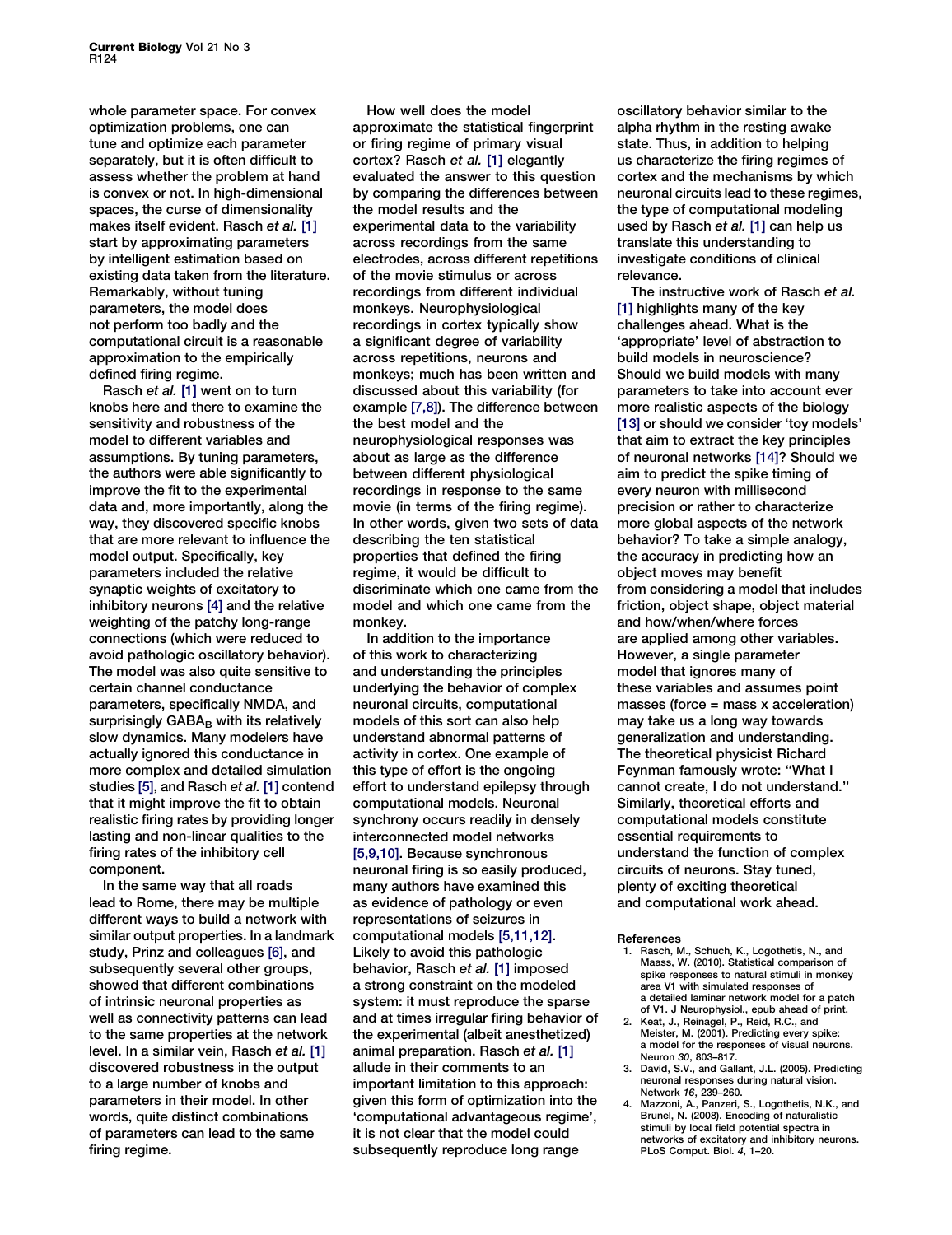<span id="page-1-0"></span>whole parameter space. For convex optimization problems, one can tune and optimize each parameter separately, but it is often difficult to assess whether the problem at hand is convex or not. In high-dimensional spaces, the curse of dimensionality makes itself evident. Rasch et al. [1] start by approximating parameters by intelligent estimation based on existing data taken from the literature. Remarkably, without tuning parameters, the model does not perform too badly and the computational circuit is a reasonable approximation to the empirically defined firing regime.

Rasch et al. [1] went on to turn knobs here and there to examine the sensitivity and robustness of the model to different variables and assumptions. By tuning parameters, the authors were able significantly to improve the fit to the experimental data and, more importantly, along the way, they discovered specific knobs that are more relevant to influence the model output. Specifically, key parameters included the relative synaptic weights of excitatory to inhibitory neurons [4] and the relative weighting of the patchy long-range connections (which were reduced to avoid pathologic oscillatory behavior). The model was also quite sensitive to certain channel conductance parameters, specifically NMDA, and surprisingly  $GABA_B$  with its relatively slow dynamics. Many modelers have actually ignored this conductance in more complex and detailed simulation studies [\[5\]](#page-2-0), and Rasch et al. [1] contend that it might improve the fit to obtain realistic firing rates by providing longer lasting and non-linear qualities to the firing rates of the inhibitory cell component.

In the same way that all roads lead to Rome, there may be multiple different ways to build a network with similar output properties. In a landmark study, Prinz and colleagues [\[6\],](#page-2-0) and subsequently several other groups, showed that different combinations of intrinsic neuronal properties as well as connectivity patterns can lead to the same properties at the network level. In a similar vein, Rasch et al. [1] discovered robustness in the output to a large number of knobs and parameters in their model. In other words, quite distinct combinations of parameters can lead to the same firing regime.

How well does the model approximate the statistical fingerprint or firing regime of primary visual cortex? Rasch et al. [1] elegantly evaluated the answer to this question by comparing the differences between the model results and the experimental data to the variability across recordings from the same electrodes, across different repetitions of the movie stimulus or across recordings from different individual monkeys. Neurophysiological recordings in cortex typically show a significant degree of variability across repetitions, neurons and monkeys; much has been written and discussed about this variability (for example [\[7,8\]\)](#page-2-0). The difference between the best model and the neurophysiological responses was about as large as the difference between different physiological recordings in response to the same movie (in terms of the firing regime). In other words, given two sets of data describing the ten statistical properties that defined the firing regime, it would be difficult to discriminate which one came from the model and which one came from the monkey.

In addition to the importance of this work to characterizing and understanding the principles underlying the behavior of complex neuronal circuits, computational models of this sort can also help understand abnormal patterns of activity in cortex. One example of this type of effort is the ongoing effort to understand epilepsy through computational models. Neuronal synchrony occurs readily in densely interconnected model networks [\[5,9,10\]](#page-2-0). Because synchronous neuronal firing is so easily produced, many authors have examined this as evidence of pathology or even representations of seizures in computational models [\[5,11,12\]](#page-2-0). Likely to avoid this pathologic behavior, Rasch et al. [1] imposed a strong constraint on the modeled system: it must reproduce the sparse and at times irregular firing behavior of the experimental (albeit anesthetized) animal preparation. Rasch et al. [1] allude in their comments to an important limitation to this approach: given this form of optimization into the 'computational advantageous regime', it is not clear that the model could subsequently reproduce long range

oscillatory behavior similar to the alpha rhythm in the resting awake state. Thus, in addition to helping us characterize the firing regimes of cortex and the mechanisms by which neuronal circuits lead to these regimes, the type of computational modeling used by Rasch et al. [1] can help us translate this understanding to investigate conditions of clinical relevance.

The instructive work of Rasch et al. [1] highlights many of the key challenges ahead. What is the 'appropriate' level of abstraction to build models in neuroscience? Should we build models with many parameters to take into account ever more realistic aspects of the biology [\[13\]](#page-2-0) or should we consider 'toy models' that aim to extract the key principles of neuronal networks [\[14\]?](#page-2-0) Should we aim to predict the spike timing of every neuron with millisecond precision or rather to characterize more global aspects of the network behavior? To take a simple analogy, the accuracy in predicting how an object moves may benefit from considering a model that includes friction, object shape, object material and how/when/where forces are applied among other variables. However, a single parameter model that ignores many of these variables and assumes point masses (force = mass x acceleration) may take us a long way towards generalization and understanding. The theoretical physicist Richard Feynman famously wrote: ''What I cannot create, I do not understand.'' Similarly, theoretical efforts and computational models constitute essential requirements to understand the function of complex circuits of neurons. Stay tuned, plenty of exciting theoretical and computational work ahead.

## **References**

- 1. Rasch, M., Schuch, K., Logothetis, N., and Maass, W. (2010). Statistical comparison of spike responses to natural stimuli in monkey area V1 with simulated responses of a detailed laminar network model for a patch of V1. J Neurophysiol., epub ahead of print.
- 2. Keat, J., Reinagel, P., Reid, R.C., and Meister, M. (2001). Predicting every spike: a model for the responses of visual neurons. Neuron 30, 803–817.
- 3. David, S.V., and Gallant, J.L. (2005). Predicting neuronal responses during natural vision.
- Network 16, 239–260. 4. Mazzoni, A., Panzeri, S., Logothetis, N.K., and Brunel, N. (2008). Encoding of naturalistic stimuli by local field potential spectra in networks of excitatory and inhibitory neurons. PLoS Comput. Biol. 4, 1–20.